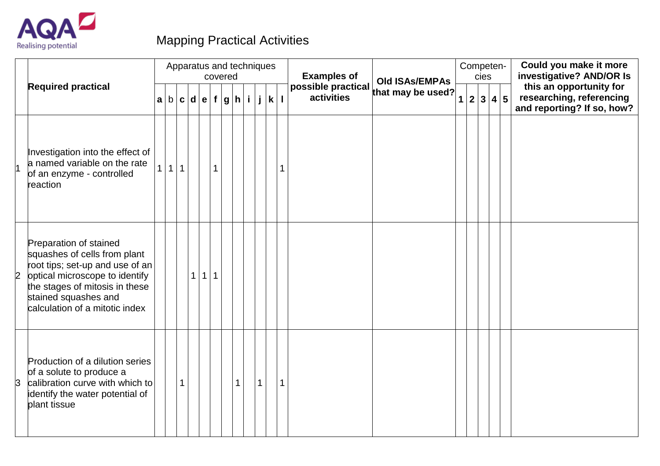

## Mapping Practical Activities

|   |                                                                                                                                                                                                                         |                |              |              | Apparatus and techniques           | covered |   |             |   | <b>Examples of</b> |                                      |  | cies | Competen- |                 | Could you make it more<br>investigative? AND/OR Is                                |
|---|-------------------------------------------------------------------------------------------------------------------------------------------------------------------------------------------------------------------------|----------------|--------------|--------------|------------------------------------|---------|---|-------------|---|--------------------|--------------------------------------|--|------|-----------|-----------------|-----------------------------------------------------------------------------------|
|   | <b>Required practical</b>                                                                                                                                                                                               |                |              |              | a  b  c  d  e  f  g  h  i  j  k  l |         |   |             |   |                    | possible practical underwide used? 1 |  |      | 2 3 4     | $5\overline{5}$ | this an opportunity for<br>researching, referencing<br>and reporting? If so, how? |
|   | Investigation into the effect of<br>a named variable on the rate<br>of an enzyme - controlled<br>reaction                                                                                                               | 1 <sup>1</sup> | $1 \mid 1$   |              |                                    | 1       |   |             |   |                    |                                      |  |      |           |                 |                                                                                   |
| 2 | Preparation of stained<br>squashes of cells from plant<br>root tips; set-up and use of an<br>optical microscope to identify<br>the stages of mitosis in these<br>stained squashes and<br>calculation of a mitotic index |                |              | $\mathbf{1}$ | $\vert$ 1 $\vert$                  | 1       |   |             |   |                    |                                      |  |      |           |                 |                                                                                   |
| 3 | Production of a dilution series<br>of a solute to produce a<br>calibration curve with which to<br>identify the water potential of<br>plant tissue                                                                       |                | $\mathbf{1}$ |              |                                    |         | 1 | $\mathbf 1$ | 1 |                    |                                      |  |      |           |                 |                                                                                   |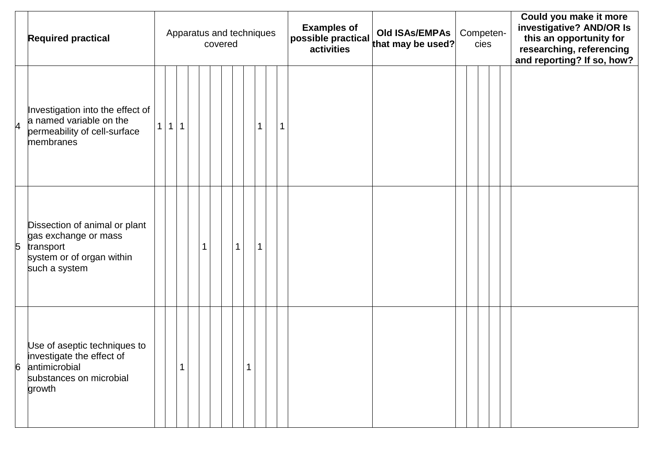|   | <b>Required practical</b>                                                                                        |                |   |   |  | Apparatus and techniques<br>covered |             |              |  | <b>Examples of</b><br>possible practical that may be used? | <b>Old ISAs/EMPAs</b> |  | cies | Competen- | Could you make it more<br>investigative? AND/OR Is<br>this an opportunity for<br>researching, referencing<br>and reporting? If so, how? |
|---|------------------------------------------------------------------------------------------------------------------|----------------|---|---|--|-------------------------------------|-------------|--------------|--|------------------------------------------------------------|-----------------------|--|------|-----------|-----------------------------------------------------------------------------------------------------------------------------------------|
| 4 | Investigation into the effect of<br>a named variable on the<br>permeability of cell-surface<br>membranes         | 1 <sup>1</sup> | 1 | 1 |  |                                     |             | $\mathbf{1}$ |  |                                                            |                       |  |      |           |                                                                                                                                         |
| 5 | Dissection of animal or plant<br>gas exchange or mass<br>transport<br>system or of organ within<br>such a system |                |   |   |  |                                     | $\mathbf 1$ | $\mathbf{1}$ |  |                                                            |                       |  |      |           |                                                                                                                                         |
| 6 | Use of aseptic techniques to<br>investigate the effect of<br>antimicrobial<br>substances on microbial<br>growth  |                |   |   |  |                                     |             |              |  |                                                            |                       |  |      |           |                                                                                                                                         |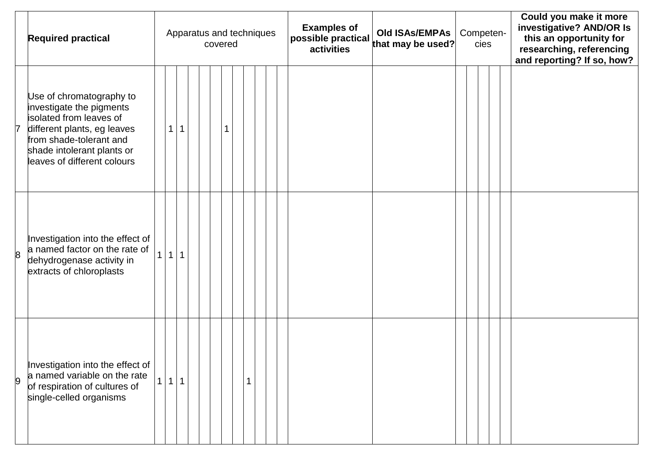|                | <b>Required practical</b>                                                                                                                                                                              |                |              |  | covered |  |              | Apparatus and techniques |  | <b>Examples of</b> | <b>Old ISAs/EMPAs</b><br>$ $ possible practical $ $ $\frac{1}{2}$ is $\frac{1}{2}$ in the used? | Competen-<br>cies |  |  |  | Could you make it more<br>investigative? AND/OR Is<br>this an opportunity for<br>researching, referencing<br>and reporting? If so, how? |
|----------------|--------------------------------------------------------------------------------------------------------------------------------------------------------------------------------------------------------|----------------|--------------|--|---------|--|--------------|--------------------------|--|--------------------|-------------------------------------------------------------------------------------------------|-------------------|--|--|--|-----------------------------------------------------------------------------------------------------------------------------------------|
| 7              | Use of chromatography to<br>investigate the pigments<br>isolated from leaves of<br>different plants, eg leaves<br>from shade-tolerant and<br>shade intolerant plants or<br>leaves of different colours | $\mathbf 1$    | 1            |  |         |  |              |                          |  |                    |                                                                                                 |                   |  |  |  |                                                                                                                                         |
| $\overline{8}$ | Investigation into the effect of<br>a named factor on the rate of<br>dehydrogenase activity in<br>extracts of chloroplasts                                                                             | 1 <sup>1</sup> | $\mathbf{1}$ |  |         |  |              |                          |  |                    |                                                                                                 |                   |  |  |  |                                                                                                                                         |
| 9              | Investigation into the effect of<br>a named variable on the rate<br>of respiration of cultures of<br>single-celled organisms                                                                           |                | 1 1          |  |         |  | $\mathbf{1}$ |                          |  |                    |                                                                                                 |                   |  |  |  |                                                                                                                                         |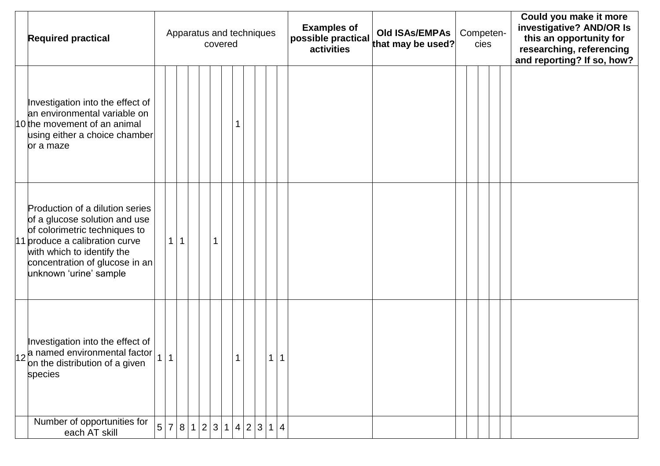| <b>Required practical</b>                                                                                                                                                                                                     |                |                |   |  | Apparatus and techniques<br>covered |   |  |                | <b>Examples of</b><br>$ $ possible practical $ $ $\frac{1}{2}$ is $\frac{1}{2}$ in the used? |  | Competen- | cies |  | Could you make it more<br>investigative? AND/OR Is<br>this an opportunity for<br>researching, referencing<br>and reporting? If so, how? |
|-------------------------------------------------------------------------------------------------------------------------------------------------------------------------------------------------------------------------------|----------------|----------------|---|--|-------------------------------------|---|--|----------------|----------------------------------------------------------------------------------------------|--|-----------|------|--|-----------------------------------------------------------------------------------------------------------------------------------------|
| Investigation into the effect of<br>an environmental variable on<br>10 <sup>the</sup> movement of an animal<br>using either a choice chamber<br>or a maze                                                                     |                |                |   |  |                                     |   |  |                |                                                                                              |  |           |      |  |                                                                                                                                         |
| Production of a dilution series<br>of a glucose solution and use<br>of colorimetric techniques to<br>11 produce a calibration curve<br>with which to identify the<br>concentration of glucose in an<br>unknown 'urine' sample |                |                | 1 |  |                                     |   |  |                |                                                                                              |  |           |      |  |                                                                                                                                         |
| Investigation into the effect of<br>$\vert$ 12 $\vert$ named environmental factor<br>on the distribution of a given<br>species                                                                                                | 1              | $\overline{1}$ |   |  |                                     | 1 |  | $\overline{1}$ |                                                                                              |  |           |      |  |                                                                                                                                         |
| Number of opportunities for<br>each AT skill                                                                                                                                                                                  | 5 <sup>1</sup> |                |   |  | 7 8 1 2 3 1 4 2 3 1 4               |   |  |                |                                                                                              |  |           |      |  |                                                                                                                                         |